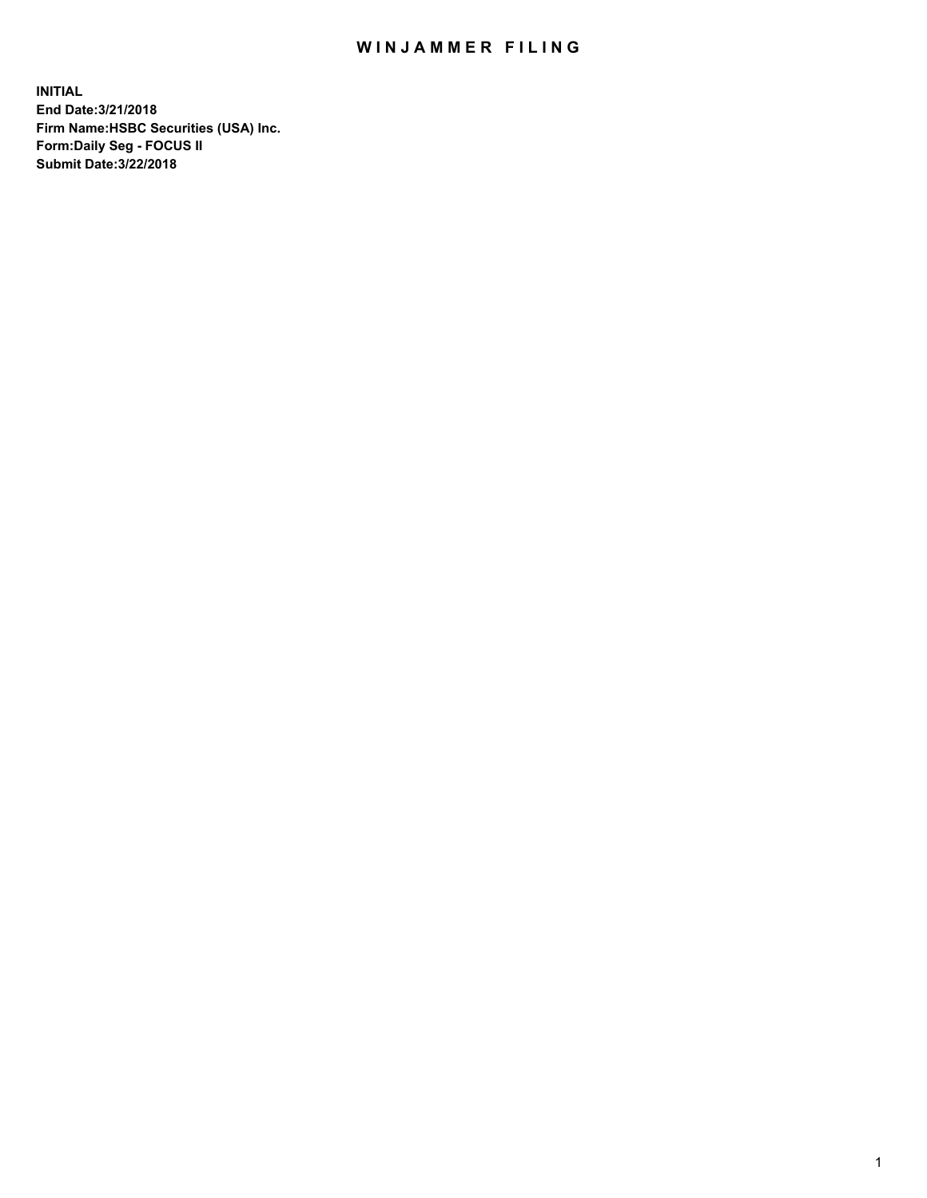## WIN JAMMER FILING

**INITIAL End Date:3/21/2018 Firm Name:HSBC Securities (USA) Inc. Form:Daily Seg - FOCUS II Submit Date:3/22/2018**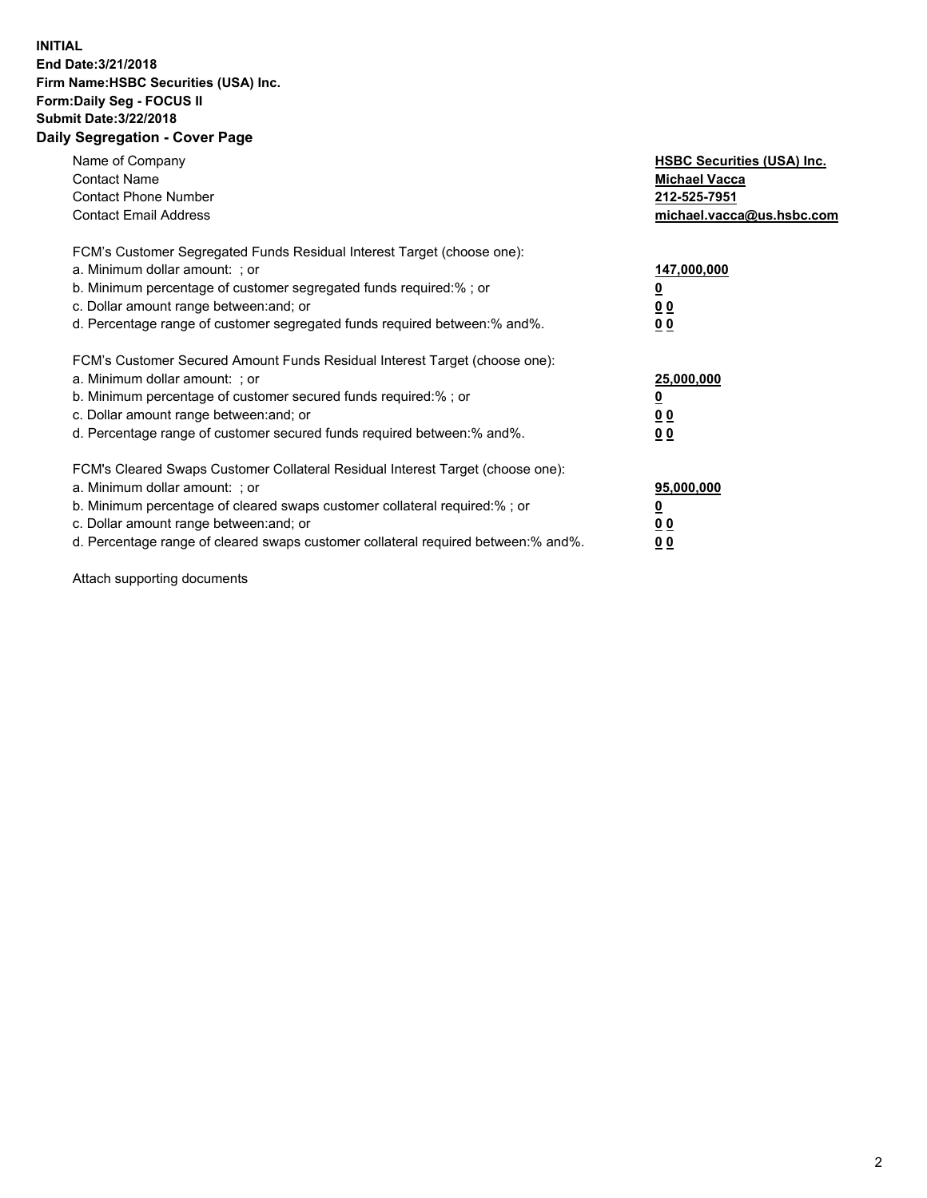## **INITIAL End Date:3/21/2018 Firm Name:HSBC Securities (USA) Inc. Form:Daily Seg - FOCUS II Submit Date:3/22/2018 Daily Segregation - Cover Page**

| Name of Company<br><b>Contact Name</b><br><b>Contact Phone Number</b><br><b>Contact Email Address</b>                                                                                                                                                                                                                         | <b>HSBC Securities (USA) Inc.</b><br><b>Michael Vacca</b><br>212-525-7951<br>michael.vacca@us.hsbc.com |
|-------------------------------------------------------------------------------------------------------------------------------------------------------------------------------------------------------------------------------------------------------------------------------------------------------------------------------|--------------------------------------------------------------------------------------------------------|
| FCM's Customer Segregated Funds Residual Interest Target (choose one):<br>a. Minimum dollar amount: ; or<br>b. Minimum percentage of customer segregated funds required:%; or<br>c. Dollar amount range between: and; or<br>d. Percentage range of customer segregated funds required between: % and %.                       | 147,000,000<br><u>0</u><br><u>00</u><br><u>00</u>                                                      |
| FCM's Customer Secured Amount Funds Residual Interest Target (choose one):<br>a. Minimum dollar amount: ; or<br>b. Minimum percentage of customer secured funds required:%; or<br>c. Dollar amount range between: and; or<br>d. Percentage range of customer secured funds required between: % and %.                         | 25,000,000<br><u>0</u><br><u>00</u><br>00                                                              |
| FCM's Cleared Swaps Customer Collateral Residual Interest Target (choose one):<br>a. Minimum dollar amount: ; or<br>b. Minimum percentage of cleared swaps customer collateral required:%; or<br>c. Dollar amount range between: and; or<br>d. Percentage range of cleared swaps customer collateral required between:% and%. | 95,000,000<br><u>0</u><br><u>00</u><br><u>00</u>                                                       |

Attach supporting documents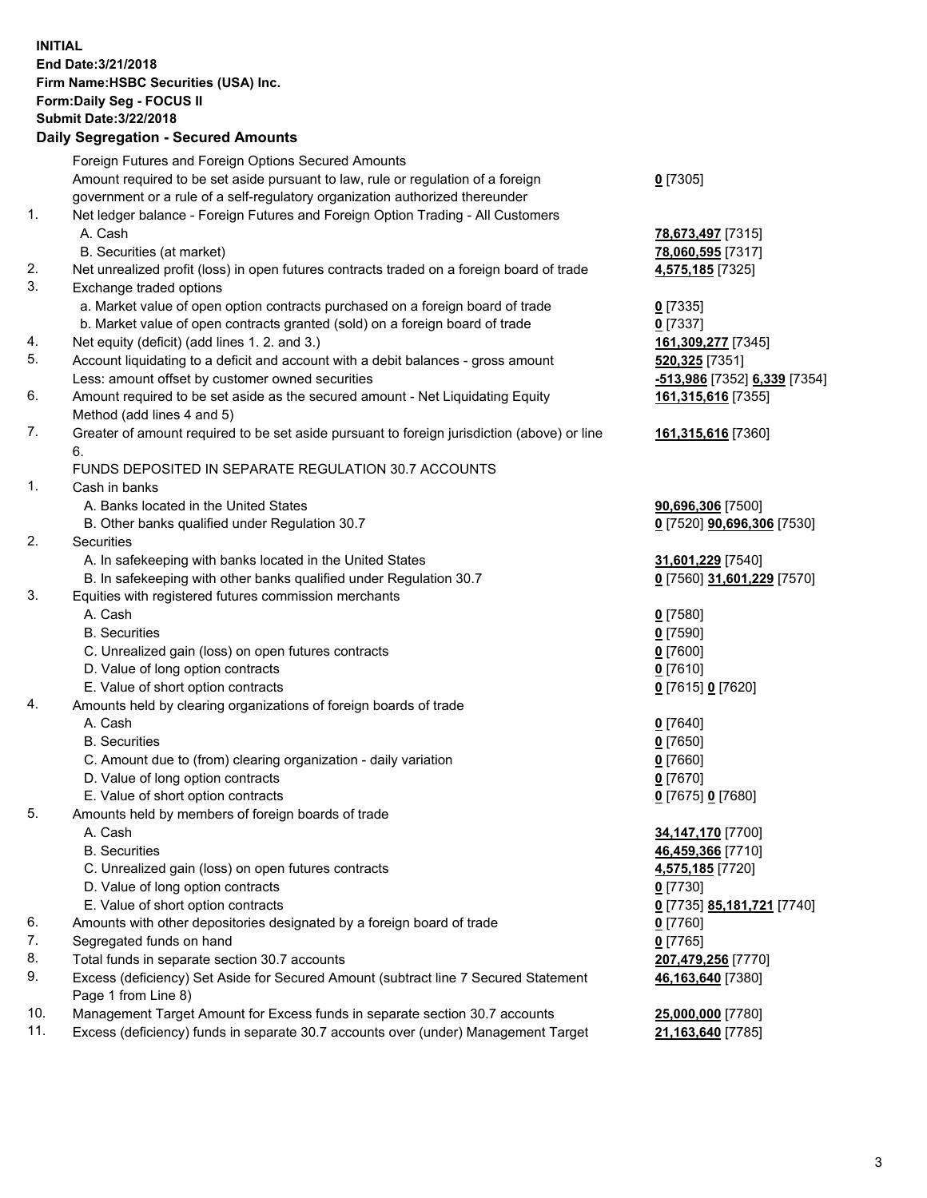**INITIAL End Date:3/21/2018 Firm Name:HSBC Securities (USA) Inc. Form:Daily Seg - FOCUS II Submit Date:3/22/2018 Daily Segregation - Secured Amounts**

| Foreign Futures and Foreign Options Secured Amounts<br>Amount required to be set aside pursuant to law, rule or regulation of a foreign<br>$0$ [7305]<br>government or a rule of a self-regulatory organization authorized thereunder<br>1.<br>Net ledger balance - Foreign Futures and Foreign Option Trading - All Customers<br>A. Cash<br>78,673,497 [7315]<br>B. Securities (at market)<br>78,060,595 [7317]<br>2.<br>Net unrealized profit (loss) in open futures contracts traded on a foreign board of trade<br>4,575,185 [7325]<br>3.<br>Exchange traded options<br>a. Market value of open option contracts purchased on a foreign board of trade<br>$0$ [7335]<br>b. Market value of open contracts granted (sold) on a foreign board of trade<br>$0$ [7337]<br>Net equity (deficit) (add lines 1.2. and 3.)<br>161,309,277 [7345]<br>4.<br>5.<br>Account liquidating to a deficit and account with a debit balances - gross amount<br>520,325 [7351]<br>Less: amount offset by customer owned securities<br>-513,986 [7352] 6,339 [7354]<br>6.<br>Amount required to be set aside as the secured amount - Net Liquidating Equity<br>161,315,616 [7355]<br>Method (add lines 4 and 5)<br>7.<br>Greater of amount required to be set aside pursuant to foreign jurisdiction (above) or line<br>161,315,616 [7360]<br>6.<br>FUNDS DEPOSITED IN SEPARATE REGULATION 30.7 ACCOUNTS<br>1.<br>Cash in banks<br>A. Banks located in the United States<br>90,696,306 [7500]<br>B. Other banks qualified under Regulation 30.7<br>0 [7520] 90,696,306 [7530]<br>2.<br>Securities<br>A. In safekeeping with banks located in the United States<br>31,601,229 [7540]<br>B. In safekeeping with other banks qualified under Regulation 30.7<br>0 [7560] 31,601,229 [7570]<br>3.<br>Equities with registered futures commission merchants<br>A. Cash<br>$0$ [7580]<br><b>B.</b> Securities<br>$0$ [7590]<br>$0$ [7600]<br>C. Unrealized gain (loss) on open futures contracts<br>D. Value of long option contracts<br>$0$ [7610]<br>E. Value of short option contracts<br>0 [7615] 0 [7620]<br>Amounts held by clearing organizations of foreign boards of trade<br>4.<br>A. Cash<br>$0$ [7640]<br>$0$ [7650]<br><b>B.</b> Securities<br>$0$ [7660]<br>C. Amount due to (from) clearing organization - daily variation<br>D. Value of long option contracts<br>$0$ [7670]<br>E. Value of short option contracts<br>0 [7675] 0 [7680]<br>5.<br>Amounts held by members of foreign boards of trade<br>34,147,170 [7700]<br>A. Cash<br><b>B.</b> Securities<br>46,459,366 [7710]<br>C. Unrealized gain (loss) on open futures contracts<br>4,575,185 [7720]<br>D. Value of long option contracts<br>$0$ [7730]<br>E. Value of short option contracts<br>0 [7735] 85,181,721 [7740]<br>6.<br>Amounts with other depositories designated by a foreign board of trade<br><u>0</u> [7760]<br>7.<br>Segregated funds on hand<br>$0$ [7765]<br>8.<br>Total funds in separate section 30.7 accounts<br>207,479,256 [7770]<br>9.<br>Excess (deficiency) Set Aside for Secured Amount (subtract line 7 Secured Statement<br>46,163,640 [7380]<br>Page 1 from Line 8)<br>10.<br>Management Target Amount for Excess funds in separate section 30.7 accounts<br>25,000,000 [7780]<br>11.<br>Excess (deficiency) funds in separate 30.7 accounts over (under) Management Target<br>21,163,640 [7785] | Daily Segregation - Secured Amounts |  |
|------------------------------------------------------------------------------------------------------------------------------------------------------------------------------------------------------------------------------------------------------------------------------------------------------------------------------------------------------------------------------------------------------------------------------------------------------------------------------------------------------------------------------------------------------------------------------------------------------------------------------------------------------------------------------------------------------------------------------------------------------------------------------------------------------------------------------------------------------------------------------------------------------------------------------------------------------------------------------------------------------------------------------------------------------------------------------------------------------------------------------------------------------------------------------------------------------------------------------------------------------------------------------------------------------------------------------------------------------------------------------------------------------------------------------------------------------------------------------------------------------------------------------------------------------------------------------------------------------------------------------------------------------------------------------------------------------------------------------------------------------------------------------------------------------------------------------------------------------------------------------------------------------------------------------------------------------------------------------------------------------------------------------------------------------------------------------------------------------------------------------------------------------------------------------------------------------------------------------------------------------------------------------------------------------------------------------------------------------------------------------------------------------------------------------------------------------------------------------------------------------------------------------------------------------------------------------------------------------------------------------------------------------------------------------------------------------------------------------------------------------------------------------------------------------------------------------------------------------------------------------------------------------------------------------------------------------------------------------------------------------------------------------------------------------------------------------------------------------------------------------------------------------------------------------------------------------------------------------------------------------------------------------------------------------------------------------------------------------------------------------------|-------------------------------------|--|
|                                                                                                                                                                                                                                                                                                                                                                                                                                                                                                                                                                                                                                                                                                                                                                                                                                                                                                                                                                                                                                                                                                                                                                                                                                                                                                                                                                                                                                                                                                                                                                                                                                                                                                                                                                                                                                                                                                                                                                                                                                                                                                                                                                                                                                                                                                                                                                                                                                                                                                                                                                                                                                                                                                                                                                                                                                                                                                                                                                                                                                                                                                                                                                                                                                                                                                                                                                                    |                                     |  |
|                                                                                                                                                                                                                                                                                                                                                                                                                                                                                                                                                                                                                                                                                                                                                                                                                                                                                                                                                                                                                                                                                                                                                                                                                                                                                                                                                                                                                                                                                                                                                                                                                                                                                                                                                                                                                                                                                                                                                                                                                                                                                                                                                                                                                                                                                                                                                                                                                                                                                                                                                                                                                                                                                                                                                                                                                                                                                                                                                                                                                                                                                                                                                                                                                                                                                                                                                                                    |                                     |  |
|                                                                                                                                                                                                                                                                                                                                                                                                                                                                                                                                                                                                                                                                                                                                                                                                                                                                                                                                                                                                                                                                                                                                                                                                                                                                                                                                                                                                                                                                                                                                                                                                                                                                                                                                                                                                                                                                                                                                                                                                                                                                                                                                                                                                                                                                                                                                                                                                                                                                                                                                                                                                                                                                                                                                                                                                                                                                                                                                                                                                                                                                                                                                                                                                                                                                                                                                                                                    |                                     |  |
|                                                                                                                                                                                                                                                                                                                                                                                                                                                                                                                                                                                                                                                                                                                                                                                                                                                                                                                                                                                                                                                                                                                                                                                                                                                                                                                                                                                                                                                                                                                                                                                                                                                                                                                                                                                                                                                                                                                                                                                                                                                                                                                                                                                                                                                                                                                                                                                                                                                                                                                                                                                                                                                                                                                                                                                                                                                                                                                                                                                                                                                                                                                                                                                                                                                                                                                                                                                    |                                     |  |
|                                                                                                                                                                                                                                                                                                                                                                                                                                                                                                                                                                                                                                                                                                                                                                                                                                                                                                                                                                                                                                                                                                                                                                                                                                                                                                                                                                                                                                                                                                                                                                                                                                                                                                                                                                                                                                                                                                                                                                                                                                                                                                                                                                                                                                                                                                                                                                                                                                                                                                                                                                                                                                                                                                                                                                                                                                                                                                                                                                                                                                                                                                                                                                                                                                                                                                                                                                                    |                                     |  |
|                                                                                                                                                                                                                                                                                                                                                                                                                                                                                                                                                                                                                                                                                                                                                                                                                                                                                                                                                                                                                                                                                                                                                                                                                                                                                                                                                                                                                                                                                                                                                                                                                                                                                                                                                                                                                                                                                                                                                                                                                                                                                                                                                                                                                                                                                                                                                                                                                                                                                                                                                                                                                                                                                                                                                                                                                                                                                                                                                                                                                                                                                                                                                                                                                                                                                                                                                                                    |                                     |  |
|                                                                                                                                                                                                                                                                                                                                                                                                                                                                                                                                                                                                                                                                                                                                                                                                                                                                                                                                                                                                                                                                                                                                                                                                                                                                                                                                                                                                                                                                                                                                                                                                                                                                                                                                                                                                                                                                                                                                                                                                                                                                                                                                                                                                                                                                                                                                                                                                                                                                                                                                                                                                                                                                                                                                                                                                                                                                                                                                                                                                                                                                                                                                                                                                                                                                                                                                                                                    |                                     |  |
|                                                                                                                                                                                                                                                                                                                                                                                                                                                                                                                                                                                                                                                                                                                                                                                                                                                                                                                                                                                                                                                                                                                                                                                                                                                                                                                                                                                                                                                                                                                                                                                                                                                                                                                                                                                                                                                                                                                                                                                                                                                                                                                                                                                                                                                                                                                                                                                                                                                                                                                                                                                                                                                                                                                                                                                                                                                                                                                                                                                                                                                                                                                                                                                                                                                                                                                                                                                    |                                     |  |
|                                                                                                                                                                                                                                                                                                                                                                                                                                                                                                                                                                                                                                                                                                                                                                                                                                                                                                                                                                                                                                                                                                                                                                                                                                                                                                                                                                                                                                                                                                                                                                                                                                                                                                                                                                                                                                                                                                                                                                                                                                                                                                                                                                                                                                                                                                                                                                                                                                                                                                                                                                                                                                                                                                                                                                                                                                                                                                                                                                                                                                                                                                                                                                                                                                                                                                                                                                                    |                                     |  |
|                                                                                                                                                                                                                                                                                                                                                                                                                                                                                                                                                                                                                                                                                                                                                                                                                                                                                                                                                                                                                                                                                                                                                                                                                                                                                                                                                                                                                                                                                                                                                                                                                                                                                                                                                                                                                                                                                                                                                                                                                                                                                                                                                                                                                                                                                                                                                                                                                                                                                                                                                                                                                                                                                                                                                                                                                                                                                                                                                                                                                                                                                                                                                                                                                                                                                                                                                                                    |                                     |  |
|                                                                                                                                                                                                                                                                                                                                                                                                                                                                                                                                                                                                                                                                                                                                                                                                                                                                                                                                                                                                                                                                                                                                                                                                                                                                                                                                                                                                                                                                                                                                                                                                                                                                                                                                                                                                                                                                                                                                                                                                                                                                                                                                                                                                                                                                                                                                                                                                                                                                                                                                                                                                                                                                                                                                                                                                                                                                                                                                                                                                                                                                                                                                                                                                                                                                                                                                                                                    |                                     |  |
|                                                                                                                                                                                                                                                                                                                                                                                                                                                                                                                                                                                                                                                                                                                                                                                                                                                                                                                                                                                                                                                                                                                                                                                                                                                                                                                                                                                                                                                                                                                                                                                                                                                                                                                                                                                                                                                                                                                                                                                                                                                                                                                                                                                                                                                                                                                                                                                                                                                                                                                                                                                                                                                                                                                                                                                                                                                                                                                                                                                                                                                                                                                                                                                                                                                                                                                                                                                    |                                     |  |
|                                                                                                                                                                                                                                                                                                                                                                                                                                                                                                                                                                                                                                                                                                                                                                                                                                                                                                                                                                                                                                                                                                                                                                                                                                                                                                                                                                                                                                                                                                                                                                                                                                                                                                                                                                                                                                                                                                                                                                                                                                                                                                                                                                                                                                                                                                                                                                                                                                                                                                                                                                                                                                                                                                                                                                                                                                                                                                                                                                                                                                                                                                                                                                                                                                                                                                                                                                                    |                                     |  |
|                                                                                                                                                                                                                                                                                                                                                                                                                                                                                                                                                                                                                                                                                                                                                                                                                                                                                                                                                                                                                                                                                                                                                                                                                                                                                                                                                                                                                                                                                                                                                                                                                                                                                                                                                                                                                                                                                                                                                                                                                                                                                                                                                                                                                                                                                                                                                                                                                                                                                                                                                                                                                                                                                                                                                                                                                                                                                                                                                                                                                                                                                                                                                                                                                                                                                                                                                                                    |                                     |  |
|                                                                                                                                                                                                                                                                                                                                                                                                                                                                                                                                                                                                                                                                                                                                                                                                                                                                                                                                                                                                                                                                                                                                                                                                                                                                                                                                                                                                                                                                                                                                                                                                                                                                                                                                                                                                                                                                                                                                                                                                                                                                                                                                                                                                                                                                                                                                                                                                                                                                                                                                                                                                                                                                                                                                                                                                                                                                                                                                                                                                                                                                                                                                                                                                                                                                                                                                                                                    |                                     |  |
|                                                                                                                                                                                                                                                                                                                                                                                                                                                                                                                                                                                                                                                                                                                                                                                                                                                                                                                                                                                                                                                                                                                                                                                                                                                                                                                                                                                                                                                                                                                                                                                                                                                                                                                                                                                                                                                                                                                                                                                                                                                                                                                                                                                                                                                                                                                                                                                                                                                                                                                                                                                                                                                                                                                                                                                                                                                                                                                                                                                                                                                                                                                                                                                                                                                                                                                                                                                    |                                     |  |
|                                                                                                                                                                                                                                                                                                                                                                                                                                                                                                                                                                                                                                                                                                                                                                                                                                                                                                                                                                                                                                                                                                                                                                                                                                                                                                                                                                                                                                                                                                                                                                                                                                                                                                                                                                                                                                                                                                                                                                                                                                                                                                                                                                                                                                                                                                                                                                                                                                                                                                                                                                                                                                                                                                                                                                                                                                                                                                                                                                                                                                                                                                                                                                                                                                                                                                                                                                                    |                                     |  |
|                                                                                                                                                                                                                                                                                                                                                                                                                                                                                                                                                                                                                                                                                                                                                                                                                                                                                                                                                                                                                                                                                                                                                                                                                                                                                                                                                                                                                                                                                                                                                                                                                                                                                                                                                                                                                                                                                                                                                                                                                                                                                                                                                                                                                                                                                                                                                                                                                                                                                                                                                                                                                                                                                                                                                                                                                                                                                                                                                                                                                                                                                                                                                                                                                                                                                                                                                                                    |                                     |  |
|                                                                                                                                                                                                                                                                                                                                                                                                                                                                                                                                                                                                                                                                                                                                                                                                                                                                                                                                                                                                                                                                                                                                                                                                                                                                                                                                                                                                                                                                                                                                                                                                                                                                                                                                                                                                                                                                                                                                                                                                                                                                                                                                                                                                                                                                                                                                                                                                                                                                                                                                                                                                                                                                                                                                                                                                                                                                                                                                                                                                                                                                                                                                                                                                                                                                                                                                                                                    |                                     |  |
|                                                                                                                                                                                                                                                                                                                                                                                                                                                                                                                                                                                                                                                                                                                                                                                                                                                                                                                                                                                                                                                                                                                                                                                                                                                                                                                                                                                                                                                                                                                                                                                                                                                                                                                                                                                                                                                                                                                                                                                                                                                                                                                                                                                                                                                                                                                                                                                                                                                                                                                                                                                                                                                                                                                                                                                                                                                                                                                                                                                                                                                                                                                                                                                                                                                                                                                                                                                    |                                     |  |
|                                                                                                                                                                                                                                                                                                                                                                                                                                                                                                                                                                                                                                                                                                                                                                                                                                                                                                                                                                                                                                                                                                                                                                                                                                                                                                                                                                                                                                                                                                                                                                                                                                                                                                                                                                                                                                                                                                                                                                                                                                                                                                                                                                                                                                                                                                                                                                                                                                                                                                                                                                                                                                                                                                                                                                                                                                                                                                                                                                                                                                                                                                                                                                                                                                                                                                                                                                                    |                                     |  |
|                                                                                                                                                                                                                                                                                                                                                                                                                                                                                                                                                                                                                                                                                                                                                                                                                                                                                                                                                                                                                                                                                                                                                                                                                                                                                                                                                                                                                                                                                                                                                                                                                                                                                                                                                                                                                                                                                                                                                                                                                                                                                                                                                                                                                                                                                                                                                                                                                                                                                                                                                                                                                                                                                                                                                                                                                                                                                                                                                                                                                                                                                                                                                                                                                                                                                                                                                                                    |                                     |  |
|                                                                                                                                                                                                                                                                                                                                                                                                                                                                                                                                                                                                                                                                                                                                                                                                                                                                                                                                                                                                                                                                                                                                                                                                                                                                                                                                                                                                                                                                                                                                                                                                                                                                                                                                                                                                                                                                                                                                                                                                                                                                                                                                                                                                                                                                                                                                                                                                                                                                                                                                                                                                                                                                                                                                                                                                                                                                                                                                                                                                                                                                                                                                                                                                                                                                                                                                                                                    |                                     |  |
|                                                                                                                                                                                                                                                                                                                                                                                                                                                                                                                                                                                                                                                                                                                                                                                                                                                                                                                                                                                                                                                                                                                                                                                                                                                                                                                                                                                                                                                                                                                                                                                                                                                                                                                                                                                                                                                                                                                                                                                                                                                                                                                                                                                                                                                                                                                                                                                                                                                                                                                                                                                                                                                                                                                                                                                                                                                                                                                                                                                                                                                                                                                                                                                                                                                                                                                                                                                    |                                     |  |
|                                                                                                                                                                                                                                                                                                                                                                                                                                                                                                                                                                                                                                                                                                                                                                                                                                                                                                                                                                                                                                                                                                                                                                                                                                                                                                                                                                                                                                                                                                                                                                                                                                                                                                                                                                                                                                                                                                                                                                                                                                                                                                                                                                                                                                                                                                                                                                                                                                                                                                                                                                                                                                                                                                                                                                                                                                                                                                                                                                                                                                                                                                                                                                                                                                                                                                                                                                                    |                                     |  |
|                                                                                                                                                                                                                                                                                                                                                                                                                                                                                                                                                                                                                                                                                                                                                                                                                                                                                                                                                                                                                                                                                                                                                                                                                                                                                                                                                                                                                                                                                                                                                                                                                                                                                                                                                                                                                                                                                                                                                                                                                                                                                                                                                                                                                                                                                                                                                                                                                                                                                                                                                                                                                                                                                                                                                                                                                                                                                                                                                                                                                                                                                                                                                                                                                                                                                                                                                                                    |                                     |  |
|                                                                                                                                                                                                                                                                                                                                                                                                                                                                                                                                                                                                                                                                                                                                                                                                                                                                                                                                                                                                                                                                                                                                                                                                                                                                                                                                                                                                                                                                                                                                                                                                                                                                                                                                                                                                                                                                                                                                                                                                                                                                                                                                                                                                                                                                                                                                                                                                                                                                                                                                                                                                                                                                                                                                                                                                                                                                                                                                                                                                                                                                                                                                                                                                                                                                                                                                                                                    |                                     |  |
|                                                                                                                                                                                                                                                                                                                                                                                                                                                                                                                                                                                                                                                                                                                                                                                                                                                                                                                                                                                                                                                                                                                                                                                                                                                                                                                                                                                                                                                                                                                                                                                                                                                                                                                                                                                                                                                                                                                                                                                                                                                                                                                                                                                                                                                                                                                                                                                                                                                                                                                                                                                                                                                                                                                                                                                                                                                                                                                                                                                                                                                                                                                                                                                                                                                                                                                                                                                    |                                     |  |
|                                                                                                                                                                                                                                                                                                                                                                                                                                                                                                                                                                                                                                                                                                                                                                                                                                                                                                                                                                                                                                                                                                                                                                                                                                                                                                                                                                                                                                                                                                                                                                                                                                                                                                                                                                                                                                                                                                                                                                                                                                                                                                                                                                                                                                                                                                                                                                                                                                                                                                                                                                                                                                                                                                                                                                                                                                                                                                                                                                                                                                                                                                                                                                                                                                                                                                                                                                                    |                                     |  |
|                                                                                                                                                                                                                                                                                                                                                                                                                                                                                                                                                                                                                                                                                                                                                                                                                                                                                                                                                                                                                                                                                                                                                                                                                                                                                                                                                                                                                                                                                                                                                                                                                                                                                                                                                                                                                                                                                                                                                                                                                                                                                                                                                                                                                                                                                                                                                                                                                                                                                                                                                                                                                                                                                                                                                                                                                                                                                                                                                                                                                                                                                                                                                                                                                                                                                                                                                                                    |                                     |  |
|                                                                                                                                                                                                                                                                                                                                                                                                                                                                                                                                                                                                                                                                                                                                                                                                                                                                                                                                                                                                                                                                                                                                                                                                                                                                                                                                                                                                                                                                                                                                                                                                                                                                                                                                                                                                                                                                                                                                                                                                                                                                                                                                                                                                                                                                                                                                                                                                                                                                                                                                                                                                                                                                                                                                                                                                                                                                                                                                                                                                                                                                                                                                                                                                                                                                                                                                                                                    |                                     |  |
|                                                                                                                                                                                                                                                                                                                                                                                                                                                                                                                                                                                                                                                                                                                                                                                                                                                                                                                                                                                                                                                                                                                                                                                                                                                                                                                                                                                                                                                                                                                                                                                                                                                                                                                                                                                                                                                                                                                                                                                                                                                                                                                                                                                                                                                                                                                                                                                                                                                                                                                                                                                                                                                                                                                                                                                                                                                                                                                                                                                                                                                                                                                                                                                                                                                                                                                                                                                    |                                     |  |
|                                                                                                                                                                                                                                                                                                                                                                                                                                                                                                                                                                                                                                                                                                                                                                                                                                                                                                                                                                                                                                                                                                                                                                                                                                                                                                                                                                                                                                                                                                                                                                                                                                                                                                                                                                                                                                                                                                                                                                                                                                                                                                                                                                                                                                                                                                                                                                                                                                                                                                                                                                                                                                                                                                                                                                                                                                                                                                                                                                                                                                                                                                                                                                                                                                                                                                                                                                                    |                                     |  |
|                                                                                                                                                                                                                                                                                                                                                                                                                                                                                                                                                                                                                                                                                                                                                                                                                                                                                                                                                                                                                                                                                                                                                                                                                                                                                                                                                                                                                                                                                                                                                                                                                                                                                                                                                                                                                                                                                                                                                                                                                                                                                                                                                                                                                                                                                                                                                                                                                                                                                                                                                                                                                                                                                                                                                                                                                                                                                                                                                                                                                                                                                                                                                                                                                                                                                                                                                                                    |                                     |  |
|                                                                                                                                                                                                                                                                                                                                                                                                                                                                                                                                                                                                                                                                                                                                                                                                                                                                                                                                                                                                                                                                                                                                                                                                                                                                                                                                                                                                                                                                                                                                                                                                                                                                                                                                                                                                                                                                                                                                                                                                                                                                                                                                                                                                                                                                                                                                                                                                                                                                                                                                                                                                                                                                                                                                                                                                                                                                                                                                                                                                                                                                                                                                                                                                                                                                                                                                                                                    |                                     |  |
|                                                                                                                                                                                                                                                                                                                                                                                                                                                                                                                                                                                                                                                                                                                                                                                                                                                                                                                                                                                                                                                                                                                                                                                                                                                                                                                                                                                                                                                                                                                                                                                                                                                                                                                                                                                                                                                                                                                                                                                                                                                                                                                                                                                                                                                                                                                                                                                                                                                                                                                                                                                                                                                                                                                                                                                                                                                                                                                                                                                                                                                                                                                                                                                                                                                                                                                                                                                    |                                     |  |
|                                                                                                                                                                                                                                                                                                                                                                                                                                                                                                                                                                                                                                                                                                                                                                                                                                                                                                                                                                                                                                                                                                                                                                                                                                                                                                                                                                                                                                                                                                                                                                                                                                                                                                                                                                                                                                                                                                                                                                                                                                                                                                                                                                                                                                                                                                                                                                                                                                                                                                                                                                                                                                                                                                                                                                                                                                                                                                                                                                                                                                                                                                                                                                                                                                                                                                                                                                                    |                                     |  |
|                                                                                                                                                                                                                                                                                                                                                                                                                                                                                                                                                                                                                                                                                                                                                                                                                                                                                                                                                                                                                                                                                                                                                                                                                                                                                                                                                                                                                                                                                                                                                                                                                                                                                                                                                                                                                                                                                                                                                                                                                                                                                                                                                                                                                                                                                                                                                                                                                                                                                                                                                                                                                                                                                                                                                                                                                                                                                                                                                                                                                                                                                                                                                                                                                                                                                                                                                                                    |                                     |  |
|                                                                                                                                                                                                                                                                                                                                                                                                                                                                                                                                                                                                                                                                                                                                                                                                                                                                                                                                                                                                                                                                                                                                                                                                                                                                                                                                                                                                                                                                                                                                                                                                                                                                                                                                                                                                                                                                                                                                                                                                                                                                                                                                                                                                                                                                                                                                                                                                                                                                                                                                                                                                                                                                                                                                                                                                                                                                                                                                                                                                                                                                                                                                                                                                                                                                                                                                                                                    |                                     |  |
|                                                                                                                                                                                                                                                                                                                                                                                                                                                                                                                                                                                                                                                                                                                                                                                                                                                                                                                                                                                                                                                                                                                                                                                                                                                                                                                                                                                                                                                                                                                                                                                                                                                                                                                                                                                                                                                                                                                                                                                                                                                                                                                                                                                                                                                                                                                                                                                                                                                                                                                                                                                                                                                                                                                                                                                                                                                                                                                                                                                                                                                                                                                                                                                                                                                                                                                                                                                    |                                     |  |
|                                                                                                                                                                                                                                                                                                                                                                                                                                                                                                                                                                                                                                                                                                                                                                                                                                                                                                                                                                                                                                                                                                                                                                                                                                                                                                                                                                                                                                                                                                                                                                                                                                                                                                                                                                                                                                                                                                                                                                                                                                                                                                                                                                                                                                                                                                                                                                                                                                                                                                                                                                                                                                                                                                                                                                                                                                                                                                                                                                                                                                                                                                                                                                                                                                                                                                                                                                                    |                                     |  |
|                                                                                                                                                                                                                                                                                                                                                                                                                                                                                                                                                                                                                                                                                                                                                                                                                                                                                                                                                                                                                                                                                                                                                                                                                                                                                                                                                                                                                                                                                                                                                                                                                                                                                                                                                                                                                                                                                                                                                                                                                                                                                                                                                                                                                                                                                                                                                                                                                                                                                                                                                                                                                                                                                                                                                                                                                                                                                                                                                                                                                                                                                                                                                                                                                                                                                                                                                                                    |                                     |  |
|                                                                                                                                                                                                                                                                                                                                                                                                                                                                                                                                                                                                                                                                                                                                                                                                                                                                                                                                                                                                                                                                                                                                                                                                                                                                                                                                                                                                                                                                                                                                                                                                                                                                                                                                                                                                                                                                                                                                                                                                                                                                                                                                                                                                                                                                                                                                                                                                                                                                                                                                                                                                                                                                                                                                                                                                                                                                                                                                                                                                                                                                                                                                                                                                                                                                                                                                                                                    |                                     |  |
|                                                                                                                                                                                                                                                                                                                                                                                                                                                                                                                                                                                                                                                                                                                                                                                                                                                                                                                                                                                                                                                                                                                                                                                                                                                                                                                                                                                                                                                                                                                                                                                                                                                                                                                                                                                                                                                                                                                                                                                                                                                                                                                                                                                                                                                                                                                                                                                                                                                                                                                                                                                                                                                                                                                                                                                                                                                                                                                                                                                                                                                                                                                                                                                                                                                                                                                                                                                    |                                     |  |
|                                                                                                                                                                                                                                                                                                                                                                                                                                                                                                                                                                                                                                                                                                                                                                                                                                                                                                                                                                                                                                                                                                                                                                                                                                                                                                                                                                                                                                                                                                                                                                                                                                                                                                                                                                                                                                                                                                                                                                                                                                                                                                                                                                                                                                                                                                                                                                                                                                                                                                                                                                                                                                                                                                                                                                                                                                                                                                                                                                                                                                                                                                                                                                                                                                                                                                                                                                                    |                                     |  |
|                                                                                                                                                                                                                                                                                                                                                                                                                                                                                                                                                                                                                                                                                                                                                                                                                                                                                                                                                                                                                                                                                                                                                                                                                                                                                                                                                                                                                                                                                                                                                                                                                                                                                                                                                                                                                                                                                                                                                                                                                                                                                                                                                                                                                                                                                                                                                                                                                                                                                                                                                                                                                                                                                                                                                                                                                                                                                                                                                                                                                                                                                                                                                                                                                                                                                                                                                                                    |                                     |  |
|                                                                                                                                                                                                                                                                                                                                                                                                                                                                                                                                                                                                                                                                                                                                                                                                                                                                                                                                                                                                                                                                                                                                                                                                                                                                                                                                                                                                                                                                                                                                                                                                                                                                                                                                                                                                                                                                                                                                                                                                                                                                                                                                                                                                                                                                                                                                                                                                                                                                                                                                                                                                                                                                                                                                                                                                                                                                                                                                                                                                                                                                                                                                                                                                                                                                                                                                                                                    |                                     |  |
|                                                                                                                                                                                                                                                                                                                                                                                                                                                                                                                                                                                                                                                                                                                                                                                                                                                                                                                                                                                                                                                                                                                                                                                                                                                                                                                                                                                                                                                                                                                                                                                                                                                                                                                                                                                                                                                                                                                                                                                                                                                                                                                                                                                                                                                                                                                                                                                                                                                                                                                                                                                                                                                                                                                                                                                                                                                                                                                                                                                                                                                                                                                                                                                                                                                                                                                                                                                    |                                     |  |
|                                                                                                                                                                                                                                                                                                                                                                                                                                                                                                                                                                                                                                                                                                                                                                                                                                                                                                                                                                                                                                                                                                                                                                                                                                                                                                                                                                                                                                                                                                                                                                                                                                                                                                                                                                                                                                                                                                                                                                                                                                                                                                                                                                                                                                                                                                                                                                                                                                                                                                                                                                                                                                                                                                                                                                                                                                                                                                                                                                                                                                                                                                                                                                                                                                                                                                                                                                                    |                                     |  |
|                                                                                                                                                                                                                                                                                                                                                                                                                                                                                                                                                                                                                                                                                                                                                                                                                                                                                                                                                                                                                                                                                                                                                                                                                                                                                                                                                                                                                                                                                                                                                                                                                                                                                                                                                                                                                                                                                                                                                                                                                                                                                                                                                                                                                                                                                                                                                                                                                                                                                                                                                                                                                                                                                                                                                                                                                                                                                                                                                                                                                                                                                                                                                                                                                                                                                                                                                                                    |                                     |  |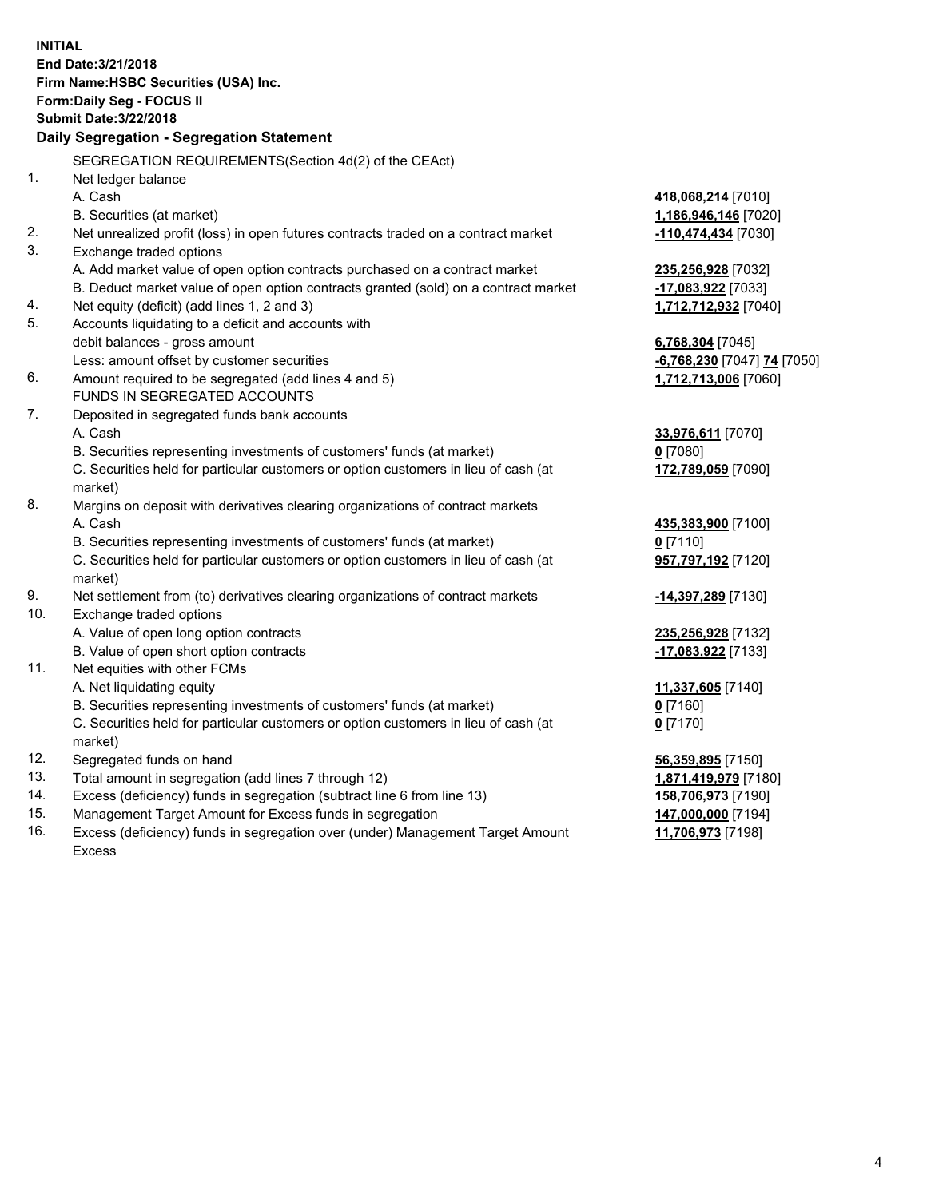**INITIAL End Date:3/21/2018 Firm Name:HSBC Securities (USA) Inc. Form:Daily Seg - FOCUS II Submit Date:3/22/2018 Daily Segregation - Segregation Statement** SEGREGATION REQUIREMENTS(Section 4d(2) of the CEAct) 1. Net ledger balance A. Cash **418,068,214** [7010] B. Securities (at market) **1,186,946,146** [7020] 2. Net unrealized profit (loss) in open futures contracts traded on a contract market **-110,474,434** [7030] 3. Exchange traded options A. Add market value of open option contracts purchased on a contract market **235,256,928** [7032] B. Deduct market value of open option contracts granted (sold) on a contract market **-17,083,922** [7033] 4. Net equity (deficit) (add lines 1, 2 and 3) **1,712,712,932** [7040] 5. Accounts liquidating to a deficit and accounts with debit balances - gross amount **6,768,304** [7045] Less: amount offset by customer securities **-6,768,230** [7047] **74** [7050] 6. Amount required to be segregated (add lines 4 and 5) **1,712,713,006** [7060] FUNDS IN SEGREGATED ACCOUNTS 7. Deposited in segregated funds bank accounts A. Cash **33,976,611** [7070] B. Securities representing investments of customers' funds (at market) **0** [7080] C. Securities held for particular customers or option customers in lieu of cash (at market) **172,789,059** [7090] 8. Margins on deposit with derivatives clearing organizations of contract markets A. Cash **435,383,900** [7100] B. Securities representing investments of customers' funds (at market) **0** [7110] C. Securities held for particular customers or option customers in lieu of cash (at market) **957,797,192** [7120] 9. Net settlement from (to) derivatives clearing organizations of contract markets **-14,397,289** [7130] 10. Exchange traded options A. Value of open long option contracts **235,256,928** [7132] B. Value of open short option contracts **-17,083,922** [7133] 11. Net equities with other FCMs A. Net liquidating equity **11,337,605** [7140] B. Securities representing investments of customers' funds (at market) **0** [7160] C. Securities held for particular customers or option customers in lieu of cash (at market) **0** [7170] 12. Segregated funds on hand **56,359,895** [7150] 13. Total amount in segregation (add lines 7 through 12) **1,871,419,979** [7180] 14. Excess (deficiency) funds in segregation (subtract line 6 from line 13) **158,706,973** [7190] 15. Management Target Amount for Excess funds in segregation **147,000,000** [7194] **11,706,973** [7198]

16. Excess (deficiency) funds in segregation over (under) Management Target Amount Excess